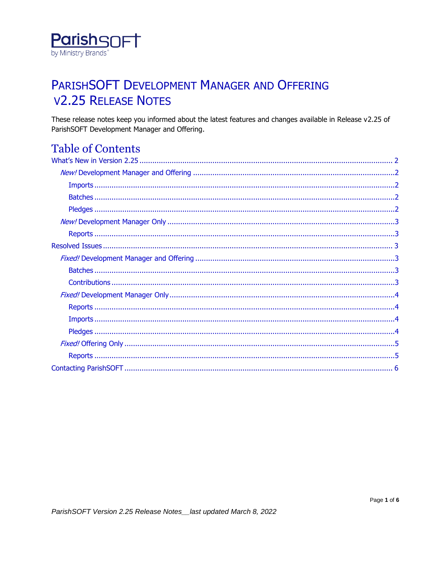

## PARISHSOFT DEVELOPMENT MANAGER AND OFFERING **V2.25 RELEASE NOTES**

These release notes keep you informed about the latest features and changes available in Release v2.25 of ParishSOFT Development Manager and Offering.

## **Table of Contents**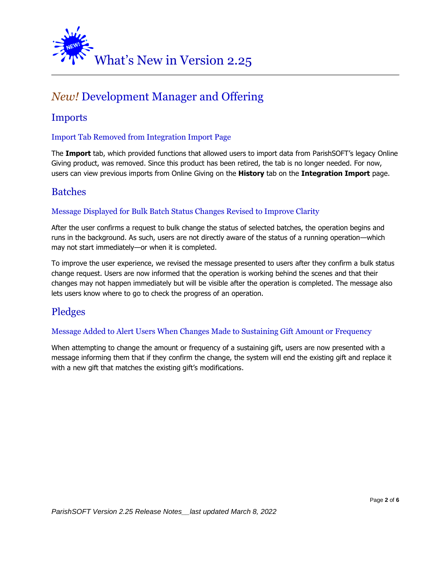<span id="page-1-0"></span>

## <span id="page-1-1"></span>*New!* Development Manager and Offering

### <span id="page-1-2"></span>Imports

#### Import Tab Removed from Integration Import Page

The **Import** tab, which provided functions that allowed users to import data from ParishSOFT's legacy Online Giving product, was removed. Since this product has been retired, the tab is no longer needed. For now, users can view previous imports from Online Giving on the **History** tab on the **Integration Import** page.

### <span id="page-1-3"></span>Batches

#### Message Displayed for Bulk Batch Status Changes Revised to Improve Clarity

After the user confirms a request to bulk change the status of selected batches, the operation begins and runs in the background. As such, users are not directly aware of the status of a running operation—which may not start immediately—or when it is completed.

To improve the user experience, we revised the message presented to users after they confirm a bulk status change request. Users are now informed that the operation is working behind the scenes and that their changes may not happen immediately but will be visible after the operation is completed. The message also lets users know where to go to check the progress of an operation.

### <span id="page-1-4"></span>Pledges

#### Message Added to Alert Users When Changes Made to Sustaining Gift Amount or Frequency

When attempting to change the amount or frequency of a sustaining gift, users are now presented with a message informing them that if they confirm the change, the system will end the existing gift and replace it with a new gift that matches the existing gift's modifications.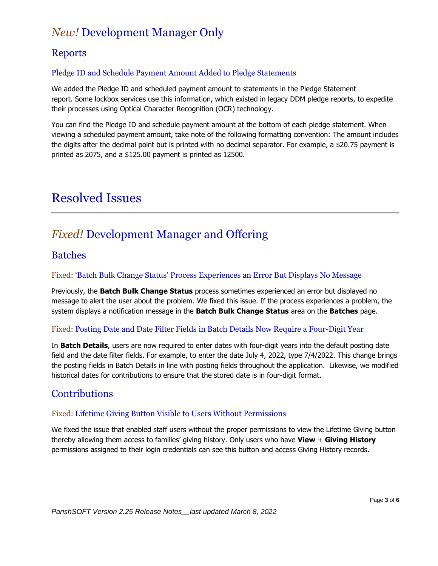## <span id="page-2-0"></span>*New!* Development Manager Only

### <span id="page-2-1"></span>**Reports**

#### Pledge ID and Schedule Payment Amount Added to Pledge Statements

We added the Pledge ID and scheduled payment amount to statements in the Pledge Statement report. Some lockbox services use this information, which existed in legacy DDM pledge reports, to expedite their processes using Optical Character Recognition (OCR) technology.

You can find the Pledge ID and schedule payment amount at the bottom of each pledge statement. When viewing a scheduled payment amount, take note of the following formatting convention: The amount includes the digits after the decimal point but is printed with no decimal separator. For example, a \$20.75 payment is printed as 2075, and a \$125.00 payment is printed as 12500.

## <span id="page-2-2"></span>Resolved Issues

## <span id="page-2-3"></span>*Fixed!* Development Manager and Offering

### <span id="page-2-4"></span>Batches

#### Fixed: 'Batch Bulk Change Status' Process Experiences an Error But Displays No Message

Previously, the **Batch Bulk Change Status** process sometimes experienced an error but displayed no message to alert the user about the problem. We fixed this issue. If the process experiences a problem, the system displays a notification message in the **Batch Bulk Change Status** area on the **Batches** page.

#### Fixed: Posting Date and Date Filter Fields in Batch Details Now Require a Four-Digit Year

In **Batch Details**, users are now required to enter dates with four-digit years into the default posting date field and the date filter fields. For example, to enter the date July 4, 2022, type 7/4/2022. This change brings the posting fields in Batch Details in line with posting fields throughout the application. Likewise, we modified historical dates for contributions to ensure that the stored date is in four-digit format.

### <span id="page-2-5"></span>**Contributions**

#### Fixed: Lifetime Giving Button Visible to Users Without Permissions

We fixed the issue that enabled staff users without the proper permissions to view the Lifetime Giving button thereby allowing them access to families' giving history. Only users who have **View** + **Giving History** permissions assigned to their login credentials can see this button and access Giving History records.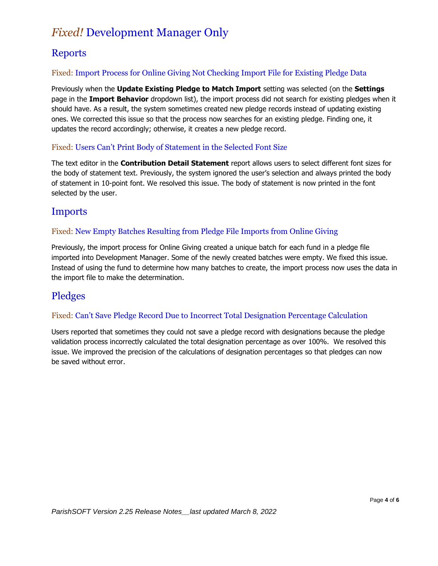## <span id="page-3-0"></span>*Fixed!* Development Manager Only

## <span id="page-3-1"></span>**Reports**

#### Fixed: Import Process for Online Giving Not Checking Import File for Existing Pledge Data

Previously when the **Update Existing Pledge to Match Import** setting was selected (on the **Settings** page in the **Import Behavior** dropdown list), the import process did not search for existing pledges when it should have. As a result, the system sometimes created new pledge records instead of updating existing ones. We corrected this issue so that the process now searches for an existing pledge. Finding one, it updates the record accordingly; otherwise, it creates a new pledge record.

#### Fixed: Users Can't Print Body of Statement in the Selected Font Size

The text editor in the **Contribution Detail Statement** report allows users to select different font sizes for the body of statement text. Previously, the system ignored the user's selection and always printed the body of statement in 10-point font. We resolved this issue. The body of statement is now printed in the font selected by the user.

### <span id="page-3-2"></span>Imports

#### Fixed: New Empty Batches Resulting from Pledge File Imports from Online Giving

Previously, the import process for Online Giving created a unique batch for each fund in a pledge file imported into Development Manager. Some of the newly created batches were empty. We fixed this issue. Instead of using the fund to determine how many batches to create, the import process now uses the data in the import file to make the determination.

## <span id="page-3-3"></span>Pledges

#### Fixed: Can't Save Pledge Record Due to Incorrect Total Designation Percentage Calculation

Users reported that sometimes they could not save a pledge record with designations because the pledge validation process incorrectly calculated the total designation percentage as over 100%. We resolved this issue. We improved the precision of the calculations of designation percentages so that pledges can now be saved without error.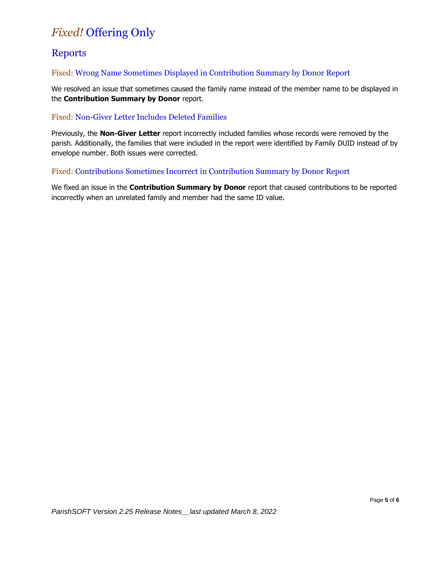## <span id="page-4-0"></span>*Fixed!* Offering Only

## <span id="page-4-1"></span>**Reports**

#### Fixed: Wrong Name Sometimes Displayed in Contribution Summary by Donor Report

We resolved an issue that sometimes caused the family name instead of the member name to be displayed in the **Contribution Summary by Donor** report.

#### Fixed: Non-Giver Letter Includes Deleted Families

Previously, the **Non-Giver Letter** report incorrectly included families whose records were removed by the parish. Additionally, the families that were included in the report were identified by Family DUID instead of by envelope number. Both issues were corrected.

#### Fixed: Contributions Sometimes Incorrect in Contribution Summary by Donor Report

We fixed an issue in the **Contribution Summary by Donor** report that caused contributions to be reported incorrectly when an unrelated family and member had the same ID value.